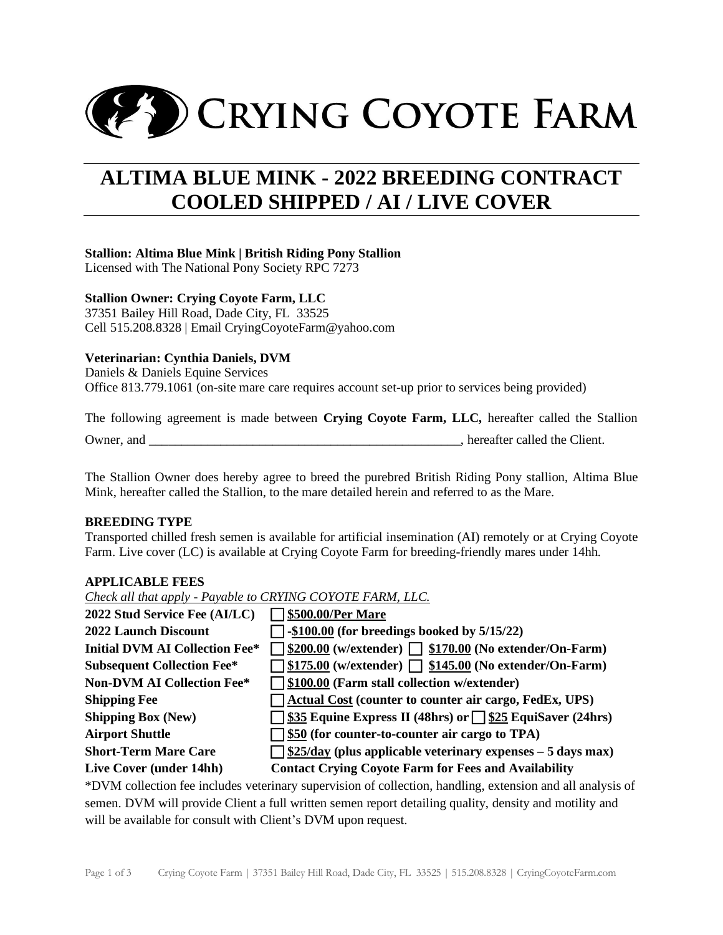

# **ALTIMA BLUE MINK - 2022 BREEDING CONTRACT COOLED SHIPPED / AI / LIVE COVER**

## **Stallion: Altima Blue Mink | British Riding Pony Stallion**

Licensed with The National Pony Society RPC 7273

## **Stallion Owner: Crying Coyote Farm, LLC**

37351 Bailey Hill Road, Dade City, FL 33525 Cell 515.208.8328 | Email CryingCoyoteFarm@yahoo.com

## **Veterinarian: Cynthia Daniels, DVM**

Daniels & Daniels Equine Services Office [813.779.1061](javascript:void(0)) (on-site mare care requires account set-up prior to services being provided)

The following agreement is made between **Crying Coyote Farm, LLC,** hereafter called the Stallion

Owner, and  $\Box$  and  $\Box$  and  $\Box$  is the Client.

The Stallion Owner does hereby agree to breed the purebred British Riding Pony stallion, Altima Blue Mink, hereafter called the Stallion, to the mare detailed herein and referred to as the Mare.

## **BREEDING TYPE**

Transported chilled fresh semen is available for artificial insemination (AI) remotely or at Crying Coyote Farm. Live cover (LC) is available at Crying Coyote Farm for breeding-friendly mares under 14hh.

## **APPLICABLE FEES**

*Check all that apply - Payable to CRYING COYOTE FARM, LLC.* **2022 Stud Service Fee (AI/LC) \$500.00/Per Mare 2022 Launch Discount -\$100.00 (for breedings booked by 5/15/22) Initial DVM AI Collection Fee\***  $\Box$  \$200.00 (w/extender)  $\Box$  \$170.00 (No extender/On-Farm) **Subsequent Collection Fee\* \$175.00 (w/extender)\$145.00 (No extender/On-Farm) Non-DVM AI Collection Fee\* \$100.00 (Farm stall collection w/extender) Shipping Fee Actual Cost** (counter to counter air cargo, FedEx, UPS) **Shipping Box** (New)  $\bigcap$  \$35 **Equine Express II** (48hrs) or  $\bigcap$  \$25 **EquiSaver** (24hrs) Airport Shuttle **1996 \$50 (for counter-to-counter air cargo to TPA) Short-Term Mare Care \$25/day (plus applicable veterinary expenses – 5 days max) Live Cover (under 14hh) Contact Crying Coyote Farm for Fees and Availability**

\*DVM collection fee includes veterinary supervision of collection, handling, extension and all analysis of semen. DVM will provide Client a full written semen report detailing quality, density and motility and will be available for consult with Client's DVM upon request.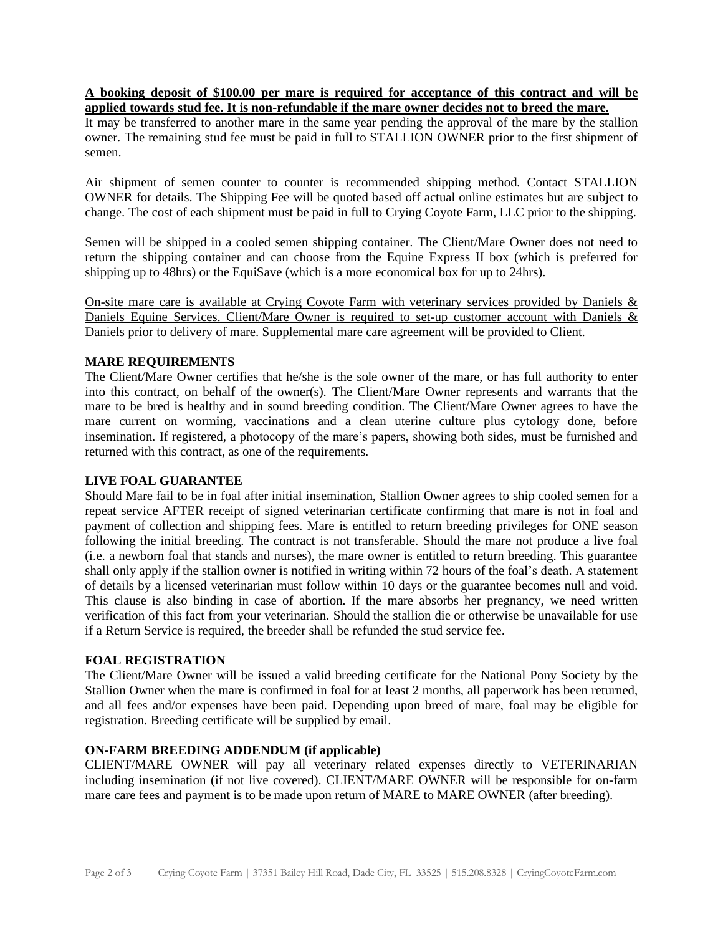#### **A booking deposit of \$100.00 per mare is required for acceptance of this contract and will be applied towards stud fee. It is non-refundable if the mare owner decides not to breed the mare.**

It may be transferred to another mare in the same year pending the approval of the mare by the stallion owner. The remaining stud fee must be paid in full to STALLION OWNER prior to the first shipment of semen.

Air shipment of semen counter to counter is recommended shipping method. Contact STALLION OWNER for details. The Shipping Fee will be quoted based off actual online estimates but are subject to change. The cost of each shipment must be paid in full to Crying Coyote Farm, LLC prior to the shipping.

Semen will be shipped in a cooled semen shipping container. The Client/Mare Owner does not need to return the shipping container and can choose from the Equine Express II box (which is preferred for shipping up to 48hrs) or the EquiSave (which is a more economical box for up to 24hrs).

On-site mare care is available at Crying Coyote Farm with veterinary services provided by Daniels & Daniels Equine Services. Client/Mare Owner is required to set-up customer account with Daniels & Daniels prior to delivery of mare. Supplemental mare care agreement will be provided to Client.

## **MARE REQUIREMENTS**

The Client/Mare Owner certifies that he/she is the sole owner of the mare, or has full authority to enter into this contract, on behalf of the owner(s). The Client/Mare Owner represents and warrants that the mare to be bred is healthy and in sound breeding condition. The Client/Mare Owner agrees to have the mare current on worming, vaccinations and a clean uterine culture plus cytology done, before insemination. If registered, a photocopy of the mare's papers, showing both sides, must be furnished and returned with this contract, as one of the requirements.

## **LIVE FOAL GUARANTEE**

Should Mare fail to be in foal after initial insemination, Stallion Owner agrees to ship cooled semen for a repeat service AFTER receipt of signed veterinarian certificate confirming that mare is not in foal and payment of collection and shipping fees. Mare is entitled to return breeding privileges for ONE season following the initial breeding. The contract is not transferable. Should the mare not produce a live foal (i.e. a newborn foal that stands and nurses), the mare owner is entitled to return breeding. This guarantee shall only apply if the stallion owner is notified in writing within 72 hours of the foal's death. A statement of details by a licensed veterinarian must follow within 10 days or the guarantee becomes null and void. This clause is also binding in case of abortion. If the mare absorbs her pregnancy, we need written verification of this fact from your veterinarian. Should the stallion die or otherwise be unavailable for use if a Return Service is required, the breeder shall be refunded the stud service fee.

## **FOAL REGISTRATION**

The Client/Mare Owner will be issued a valid breeding certificate for the National Pony Society by the Stallion Owner when the mare is confirmed in foal for at least 2 months, all paperwork has been returned, and all fees and/or expenses have been paid. Depending upon breed of mare, foal may be eligible for registration. Breeding certificate will be supplied by email.

## **ON-FARM BREEDING ADDENDUM (if applicable)**

CLIENT/MARE OWNER will pay all veterinary related expenses directly to VETERINARIAN including insemination (if not live covered). CLIENT/MARE OWNER will be responsible for on-farm mare care fees and payment is to be made upon return of MARE to MARE OWNER (after breeding).